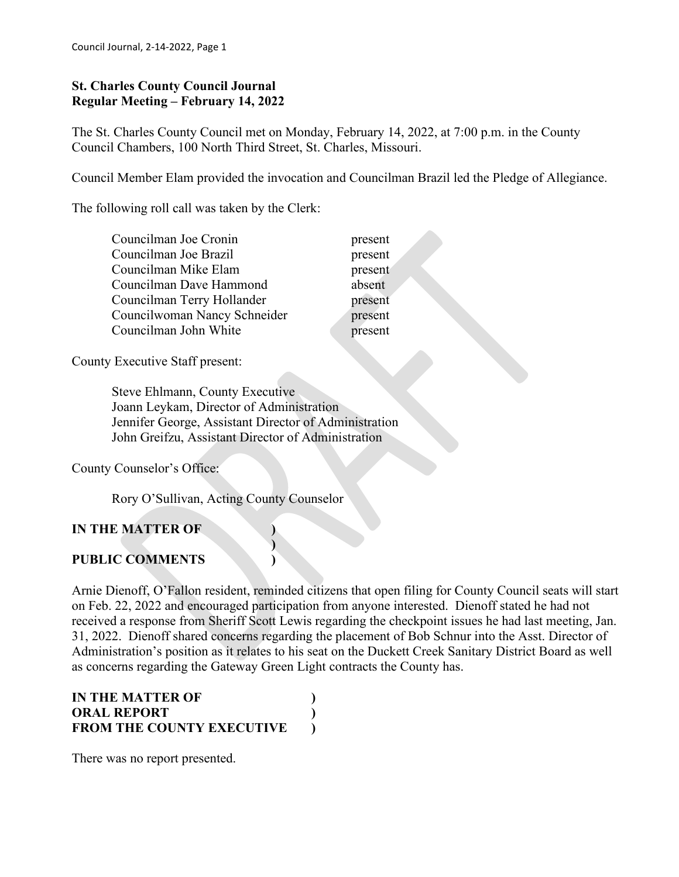#### **St. Charles County Council Journal Regular Meeting – February 14, 2022**

The St. Charles County Council met on Monday, February 14, 2022, at 7:00 p.m. in the County Council Chambers, 100 North Third Street, St. Charles, Missouri.

Council Member Elam provided the invocation and Councilman Brazil led the Pledge of Allegiance.

The following roll call was taken by the Clerk:

- Councilman Joe Cronin present Councilman Joe Brazil present Councilman Mike Elam present Councilman Dave Hammond absent Councilman Terry Hollander **present** Councilwoman Nancy Schneider present Councilman John White **present** 
	-

County Executive Staff present:

 Steve Ehlmann, County Executive Joann Leykam, Director of Administration Jennifer George, Assistant Director of Administration John Greifzu, Assistant Director of Administration

**)**

County Counselor's Office:

Rory O'Sullivan, Acting County Counselor

### **IN THE MATTER OF )**

### **PUBLIC COMMENTS )**

Arnie Dienoff, O'Fallon resident, reminded citizens that open filing for County Council seats will start on Feb. 22, 2022 and encouraged participation from anyone interested. Dienoff stated he had not received a response from Sheriff Scott Lewis regarding the checkpoint issues he had last meeting, Jan. 31, 2022. Dienoff shared concerns regarding the placement of Bob Schnur into the Asst. Director of Administration's position as it relates to his seat on the Duckett Creek Sanitary District Board as well as concerns regarding the Gateway Green Light contracts the County has.

| IN THE MATTER OF                 |  |
|----------------------------------|--|
| <b>ORAL REPORT</b>               |  |
| <b>FROM THE COUNTY EXECUTIVE</b> |  |

There was no report presented.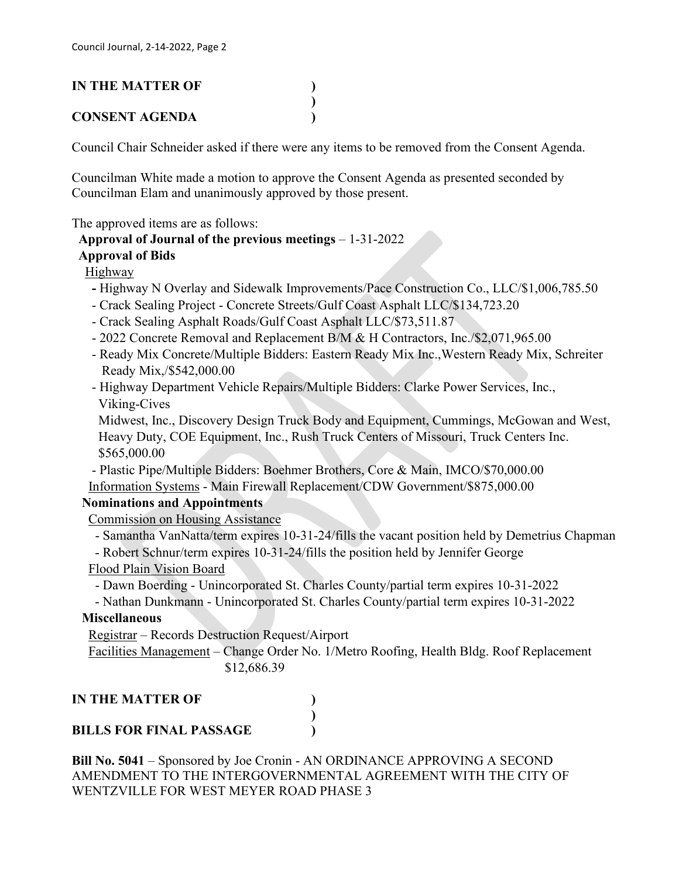# **IN THE MATTER OF )**

### **CONSENT AGENDA )**

Council Chair Schneider asked if there were any items to be removed from the Consent Agenda.

Councilman White made a motion to approve the Consent Agenda as presented seconded by Councilman Elam and unanimously approved by those present.

**)**

The approved items are as follows:

### **Approval of Journal of the previous meetings** – 1-31-2022

### **Approval of Bids**

### Highway

- **-** Highway N Overlay and Sidewalk Improvements/Pace Construction Co., LLC/\$1,006,785.50
- Crack Sealing Project Concrete Streets/Gulf Coast Asphalt LLC/\$134,723.20
- Crack Sealing Asphalt Roads/Gulf Coast Asphalt LLC/\$73,511.87
- 2022 Concrete Removal and Replacement B/M & H Contractors, Inc./\$2,071,965.00
- Ready Mix Concrete/Multiple Bidders: Eastern Ready Mix Inc.,Western Ready Mix, Schreiter Ready Mix,/\$542,000.00
- Highway Department Vehicle Repairs/Multiple Bidders: Clarke Power Services, Inc., Viking-Cives

 Midwest, Inc., Discovery Design Truck Body and Equipment, Cummings, McGowan and West, Heavy Duty, COE Equipment, Inc., Rush Truck Centers of Missouri, Truck Centers Inc. \$565,000.00

 - Plastic Pipe/Multiple Bidders: Boehmer Brothers, Core & Main, IMCO/\$70,000.00 Information Systems - Main Firewall Replacement/CDW Government/\$875,000.00

### **Nominations and Appointments**

Commission on Housing Assistance

- Samantha VanNatta/term expires 10-31-24/fills the vacant position held by Demetrius Chapman

- Robert Schnur/term expires 10-31-24/fills the position held by Jennifer George

### Flood Plain Vision Board

- Dawn Boerding - Unincorporated St. Charles County/partial term expires 10-31-2022

- Nathan Dunkmann - Unincorporated St. Charles County/partial term expires 10-31-2022

### **Miscellaneous**

Registrar – Records Destruction Request/Airport

 Facilities Management – Change Order No. 1/Metro Roofing, Health Bldg. Roof Replacement \$12,686.39

**IN THE MATTER OF )**

# **BILLS FOR FINAL PASSAGE )**

**Bill No. 5041** – Sponsored by Joe Cronin - AN ORDINANCE APPROVING A SECOND AMENDMENT TO THE INTERGOVERNMENTAL AGREEMENT WITH THE CITY OF WENTZVILLE FOR WEST MEYER ROAD PHASE 3

**)**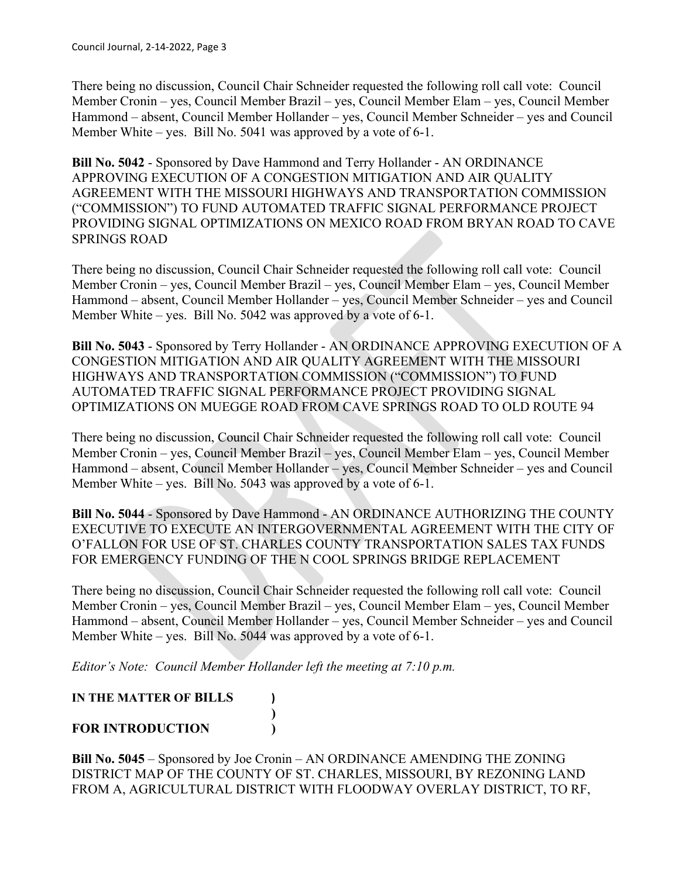There being no discussion, Council Chair Schneider requested the following roll call vote: Council Member Cronin – yes, Council Member Brazil – yes, Council Member Elam – yes, Council Member Hammond – absent, Council Member Hollander – yes, Council Member Schneider – yes and Council Member White – yes. Bill No. 5041 was approved by a vote of 6-1.

**Bill No. 5042** - Sponsored by Dave Hammond and Terry Hollander - AN ORDINANCE APPROVING EXECUTION OF A CONGESTION MITIGATION AND AIR QUALITY AGREEMENT WITH THE MISSOURI HIGHWAYS AND TRANSPORTATION COMMISSION ("COMMISSION") TO FUND AUTOMATED TRAFFIC SIGNAL PERFORMANCE PROJECT PROVIDING SIGNAL OPTIMIZATIONS ON MEXICO ROAD FROM BRYAN ROAD TO CAVE SPRINGS ROAD

There being no discussion, Council Chair Schneider requested the following roll call vote: Council Member Cronin – yes, Council Member Brazil – yes, Council Member Elam – yes, Council Member Hammond – absent, Council Member Hollander – yes, Council Member Schneider – yes and Council Member White – yes. Bill No. 5042 was approved by a vote of 6-1.

**Bill No. 5043** - Sponsored by Terry Hollander - AN ORDINANCE APPROVING EXECUTION OF A CONGESTION MITIGATION AND AIR QUALITY AGREEMENT WITH THE MISSOURI HIGHWAYS AND TRANSPORTATION COMMISSION ("COMMISSION") TO FUND AUTOMATED TRAFFIC SIGNAL PERFORMANCE PROJECT PROVIDING SIGNAL OPTIMIZATIONS ON MUEGGE ROAD FROM CAVE SPRINGS ROAD TO OLD ROUTE 94

There being no discussion, Council Chair Schneider requested the following roll call vote: Council Member Cronin – yes, Council Member Brazil – yes, Council Member Elam – yes, Council Member Hammond – absent, Council Member Hollander – yes, Council Member Schneider – yes and Council Member White – yes. Bill No. 5043 was approved by a vote of 6-1.

**Bill No. 5044** - Sponsored by Dave Hammond - AN ORDINANCE AUTHORIZING THE COUNTY EXECUTIVE TO EXECUTE AN INTERGOVERNMENTAL AGREEMENT WITH THE CITY OF O'FALLON FOR USE OF ST. CHARLES COUNTY TRANSPORTATION SALES TAX FUNDS FOR EMERGENCY FUNDING OF THE N COOL SPRINGS BRIDGE REPLACEMENT

There being no discussion, Council Chair Schneider requested the following roll call vote: Council Member Cronin – yes, Council Member Brazil – yes, Council Member Elam – yes, Council Member Hammond – absent, Council Member Hollander – yes, Council Member Schneider – yes and Council Member White – yes. Bill No. 5044 was approved by a vote of 6-1.

*Editor's Note: Council Member Hollander left the meeting at 7:10 p.m.*

**IN THE MATTER OF BILLS ) ) FOR INTRODUCTION )**

**Bill No. 5045** – Sponsored by Joe Cronin – AN ORDINANCE AMENDING THE ZONING DISTRICT MAP OF THE COUNTY OF ST. CHARLES, MISSOURI, BY REZONING LAND FROM A, AGRICULTURAL DISTRICT WITH FLOODWAY OVERLAY DISTRICT, TO RF,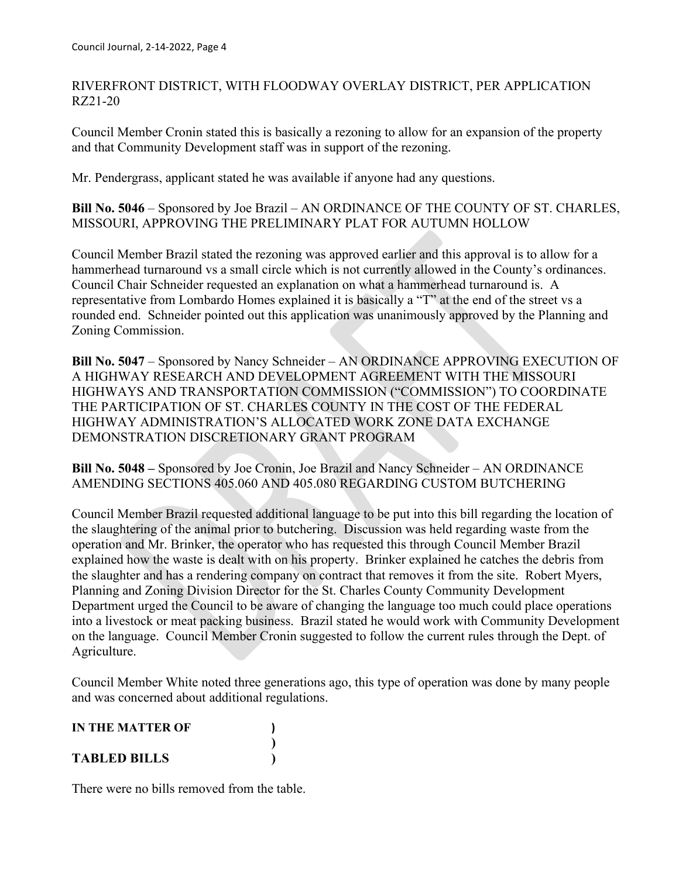RIVERFRONT DISTRICT, WITH FLOODWAY OVERLAY DISTRICT, PER APPLICATION RZ21-20

Council Member Cronin stated this is basically a rezoning to allow for an expansion of the property and that Community Development staff was in support of the rezoning.

Mr. Pendergrass, applicant stated he was available if anyone had any questions.

**Bill No. 5046** – Sponsored by Joe Brazil – AN ORDINANCE OF THE COUNTY OF ST. CHARLES, MISSOURI, APPROVING THE PRELIMINARY PLAT FOR AUTUMN HOLLOW

Council Member Brazil stated the rezoning was approved earlier and this approval is to allow for a hammerhead turnaround vs a small circle which is not currently allowed in the County's ordinances. Council Chair Schneider requested an explanation on what a hammerhead turnaround is. A representative from Lombardo Homes explained it is basically a "T" at the end of the street vs a rounded end. Schneider pointed out this application was unanimously approved by the Planning and Zoning Commission.

**Bill No. 5047** – Sponsored by Nancy Schneider – AN ORDINANCE APPROVING EXECUTION OF A HIGHWAY RESEARCH AND DEVELOPMENT AGREEMENT WITH THE MISSOURI HIGHWAYS AND TRANSPORTATION COMMISSION ("COMMISSION") TO COORDINATE THE PARTICIPATION OF ST. CHARLES COUNTY IN THE COST OF THE FEDERAL HIGHWAY ADMINISTRATION'S ALLOCATED WORK ZONE DATA EXCHANGE DEMONSTRATION DISCRETIONARY GRANT PROGRAM

**Bill No. 5048 –** Sponsored by Joe Cronin, Joe Brazil and Nancy Schneider – AN ORDINANCE AMENDING SECTIONS 405.060 AND 405.080 REGARDING CUSTOM BUTCHERING

Council Member Brazil requested additional language to be put into this bill regarding the location of the slaughtering of the animal prior to butchering. Discussion was held regarding waste from the operation and Mr. Brinker, the operator who has requested this through Council Member Brazil explained how the waste is dealt with on his property. Brinker explained he catches the debris from the slaughter and has a rendering company on contract that removes it from the site. Robert Myers, Planning and Zoning Division Director for the St. Charles County Community Development Department urged the Council to be aware of changing the language too much could place operations into a livestock or meat packing business. Brazil stated he would work with Community Development on the language. Council Member Cronin suggested to follow the current rules through the Dept. of Agriculture.

Council Member White noted three generations ago, this type of operation was done by many people and was concerned about additional regulations.

| <b>IN THE MATTER OF</b> |  |
|-------------------------|--|
|                         |  |
| <b>TABLED BILLS</b>     |  |

There were no bills removed from the table.